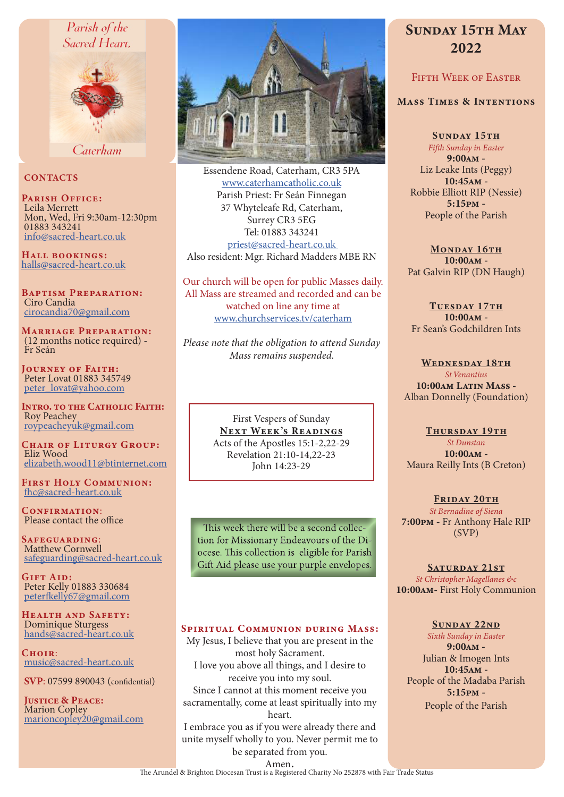# Parish of the



Caterham

#### **CONTACTS**

PARISH OFFICE: Leila Merrett Mon, Wed, Fri 9:30am-12:30pm 01883 343241 info@sacred-heart.co.uk

Hall bookings: halls@sacred-heart.co.uk

Baptism Preparation: Ciro Candia cirocandia70@gmail.com

Marriage Preparation: (12 months notice required) - Fr Seán

Journey of Faith: Peter Lovat 01883 345749 peter\_lovat@yahoo.com

Intro. to the Catholic Faith: Roy Peachey roypeacheyuk@gmail.com

CHAIR OF LITURGY GROUP: Eliz Wood elizabeth.wood11@btinternet.com

First Holy Communion: fhc@sacred-heart.co.uk

CONFIRMATION: Please contact the office

Safeguarding: Matthew Cornwell safeguarding@sacred-heart.co.uk

GIFT AID: Peter Kelly 01883 330684 peterfkelly67@gmail.com

HEALTH AND SAFETY: Dominique Sturgess hands@sacred-heart.co.uk

CHOIR: music@sacred-heart.co.uk

SVP: 07599 890043 (confidential)

Justice & Peace: Marion Copley marioncopley20@gmail.com



Essendene Road, Caterham, CR3 5PA www.caterhamcatholic.co.uk Parish Priest: Fr Seán Finnegan 37 Whyteleafe Rd, Caterham, Surrey CR3 5EG Tel: 01883 343241 priest@sacred-heart.co.uk Also resident: Mgr. Richard Madders MBE RN

Our church will be open for public Masses daily. All Mass are streamed and recorded and can be watched on line any time at www.churchservices.tv/caterham

*Please note that the obligation to attend Sunday Mass remains suspended.*

> First Vespers of Sunday NEXT WEEK'S READINGS Acts of the Apostles 15:1-2,22-29 Revelation 21:10-14,22-23 John 14:23-29

This week there will be a second collection for Missionary Endeavours of the Diocese. This collection is eligible for Parish Gift Aid please use your purple envelopes.

#### Spiritual Communion during Mass:

My Jesus, I believe that you are present in the most holy Sacrament. I love you above all things, and I desire to receive you into my soul. Since I cannot at this moment receive you sacramentally, come at least spiritually into my heart.

I embrace you as if you were already there and unite myself wholly to you. Never permit me to be separated from you.

# SUNDAY 15TH MAY 2022

# Fifth Week of Easter

#### Mass Times & Intentions

SUNDAY 15TH *Fifth Sunday in Easter* 9:00am - Liz Leake Ints (Peggy) 10:45am - Robbie Elliott RIP (Nessie) 5:15pm - People of the Parish

MONDAY 16TH 10:00am - Pat Galvin RIP (DN Haugh)

TUESDAY 17TH 10:00am - Fr Sean's Godchildren Ints

WEDNESDAY 18TH *St Venantius* 10:00am Latin Mass -Alban Donnelly (Foundation)

#### THURSDAY 19TH

*St Dunstan* 10:00am - Maura Reilly Ints (B Creton)

FRIDAY 20TH *St Bernadine of Siena* 7:00pm - Fr Anthony Hale RIP (SVP)

SATURDAY 21ST *St Christopher Magellanes &c* 10:00am- First Holy Communion

#### Sunday 22nd

*Sixth Sunday in Easter* 9:00am - Julian & Imogen Ints  $10:45AM -$ People of the Madaba Parish 5:15pm - People of the Parish

Amen.<br>The Arundel & Brighton Diocesan Trust is a Registered Charity No 252878 with Fair Trade Status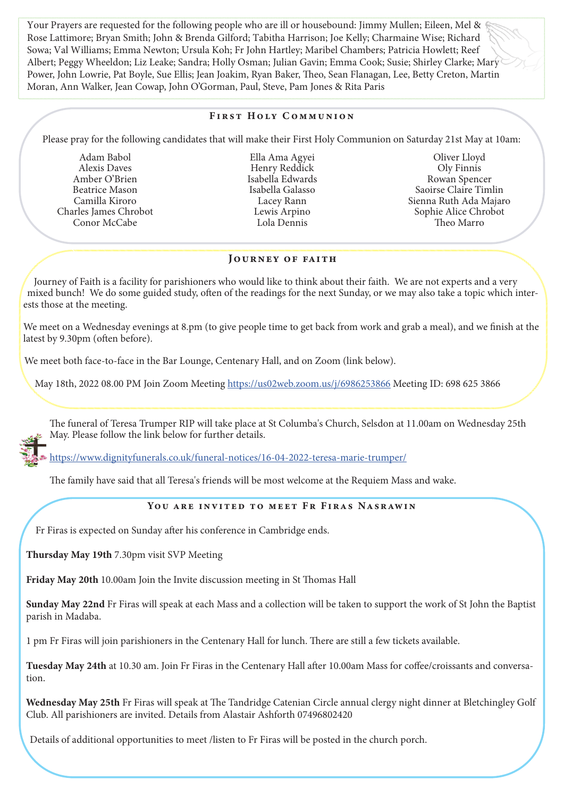Your Prayers are requested for the following people who are ill or housebound: Jimmy Mullen; Eileen, Mel & Rose Lattimore; Bryan Smith; John & Brenda Gilford; Tabitha Harrison; Joe Kelly; Charmaine Wise; Richard Sowa; Val Williams; Emma Newton; Ursula Koh; Fr John Hartley; Maribel Chambers; Patricia Howlett; Reef Albert; Peggy Wheeldon; Liz Leake; Sandra; Holly Osman; Julian Gavin; Emma Cook; Susie; Shirley Clarke; Mary Power, John Lowrie, Pat Boyle, Sue Ellis; Jean Joakim, Ryan Baker, Theo, Sean Flanagan, Lee, Betty Creton, Martin Moran, Ann Walker, Jean Cowap, John O'Gorman, Paul, Steve, Pam Jones & Rita Paris

# First Holy Communion

Please pray for the following candidates that will make their First Holy Communion on Saturday 21st May at 10am:

Adam Babol Alexis Daves Amber O'Brien Beatrice Mason Camilla Kiroro Charles James Chrobot Conor McCabe

Ella Ama Agyei Henry Reddick Isabella Edwards Isabella Galasso Lacey Rann Lewis Arpino Lola Dennis

Oliver Lloyd Oly Finnis Rowan Spencer Saoirse Claire Timlin Sienna Ruth Ada Majaro Sophie Alice Chrobot Theo Marro

#### Journey of faith

Journey of Faith is a facility for parishioners who would like to think about their faith. We are not experts and a very mixed bunch! We do some guided study, often of the readings for the next Sunday, or we may also take a topic which interests those at the meeting.

We meet on a Wednesday evenings at 8.pm (to give people time to get back from work and grab a meal), and we finish at the latest by 9.30pm (often before).

We meet both face-to-face in the Bar Lounge, Centenary Hall, and on Zoom (link below).

May 18th, 2022 08.00 PM Join Zoom Meeting https://us02web.zoom.us/j/6986253866 Meeting ID: 698 625 3866

The funeral of Teresa Trumper RIP will take place at St Columba's Church, Selsdon at 11.00am on Wednesday 25th May. Please follow the link below for further details.

https://www.dignityfunerals.co.uk/funeral-notices/16-04-2022-teresa-marie-trumper/

The family have said that all Teresa's friends will be most welcome at the Requiem Mass and wake.

#### You are invited to meet Fr Firas Nasrawin

Fr Firas is expected on Sunday after his conference in Cambridge ends.

Thursday May 19th 7.30pm visit SVP Meeting

Friday May 20th 10.00am Join the Invite discussion meeting in St Thomas Hall

Sunday May 22nd Fr Firas will speak at each Mass and a collection will be taken to support the work of St John the Baptist parish in Madaba.

1 pm Fr Firas will join parishioners in the Centenary Hall for lunch. There are still a few tickets available.

Tuesday May 24th at 10.30 am. Join Fr Firas in the Centenary Hall after 10.00am Mass for coffee/croissants and conversation.

Wednesday May 25th Fr Firas will speak at The Tandridge Catenian Circle annual clergy night dinner at Bletchingley Golf Club. All parishioners are invited. Details from Alastair Ashforth 07496802420

Details of additional opportunities to meet /listen to Fr Firas will be posted in the church porch.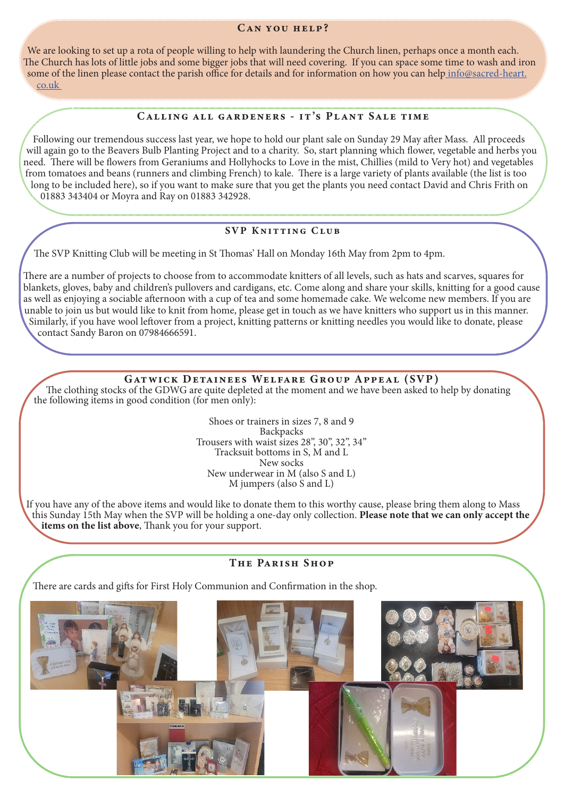#### Can you help?

We are looking to set up a rota of people willing to help with laundering the Church linen, perhaps once a month each. The Church has lots of little jobs and some bigger jobs that will need covering. If you can space some time to wash and iron some of the linen please contact the parish office for details and for information on how you can help info@sacred-heart. co.uk

#### CALLING ALL GARDENERS - IT'S PLANT SALE TIME

Following our tremendous success last year, we hope to hold our plant sale on Sunday 29 May after Mass. All proceeds will again go to the Beavers Bulb Planting Project and to a charity. So, start planning which flower, vegetable and herbs you need. There will be flowers from Geraniums and Hollyhocks to Love in the mist, Chillies (mild to Very hot) and vegetables from tomatoes and beans (runners and climbing French) to kale. There is a large variety of plants available (the list is too long to be included here), so if you want to make sure that you get the plants you need contact David and Chris Frith on 01883 343404 or Moyra and Ray on 01883 342928.

#### SVP KNITTING CLUB

The SVP Knitting Club will be meeting in St Thomas' Hall on Monday 16th May from 2pm to 4pm.

There are a number of projects to choose from to accommodate knitters of all levels, such as hats and scarves, squares for blankets, gloves, baby and children's pullovers and cardigans, etc. Come along and share your skills, knitting for a good cause as well as enjoying a sociable afternoon with a cup of tea and some homemade cake. We welcome new members. If you are unable to join us but would like to knit from home, please get in touch as we have knitters who support us in this manner. Similarly, if you have wool leftover from a project, knitting patterns or knitting needles you would like to donate, please contact Sandy Baron on 07984666591.

#### Gatwick Detainees Welfare Group Appeal (SVP)

The clothing stocks of the GDWG are quite depleted at the moment and we have been asked to help by donating the following items in good condition (for men only):

> Shoes or trainers in sizes 7, 8 and 9 Backpacks Trousers with waist sizes 28", 30", 32", 34" Tracksuit bottoms in S, M and L New socks New underwear in M (also S and L) M jumpers (also S and L)

If you have any of the above items and would like to donate them to this worthy cause, please bring them along to Mass this Sunday 15th May when the SVP will be holding a one-day only collection. Please note that we can only accept the items on the list above, Thank you for your support.

#### The Parish Shop

There are cards and gifts for First Holy Communion and Confirmation in the shop.